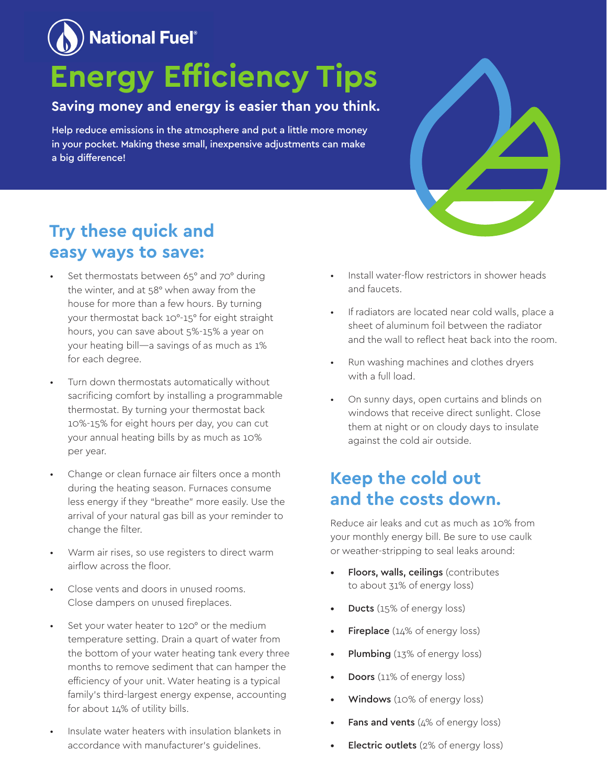## **National Fuel**®

# **Energy Efficiency Tips**

#### **Saving money and energy is easier than you think.**

Help reduce emissions in the atmosphere and put a little more money in your pocket. Making these small, inexpensive adjustments can make a big difference!

#### **Try these quick and easy ways to save:**

- Set thermostats between 65° and 70° during the winter, and at 58° when away from the house for more than a few hours. By turning your thermostat back 10°-15° for eight straight hours, you can save about 5%-15% a year on your heating bill—a savings of as much as 1% for each degree.
- Turn down thermostats automatically without sacrificing comfort by installing a programmable thermostat. By turning your thermostat back 10%-15% for eight hours per day, you can cut your annual heating bills by as much as 10% per year.
- Change or clean furnace air filters once a month during the heating season. Furnaces consume less energy if they "breathe" more easily. Use the arrival of your natural gas bill as your reminder to change the filter.
- Warm air rises, so use registers to direct warm airflow across the floor.
- Close vents and doors in unused rooms. Close dampers on unused fireplaces.
- Set your water heater to 120° or the medium temperature setting. Drain a quart of water from the bottom of your water heating tank every three months to remove sediment that can hamper the efficiency of your unit. Water heating is a typical family's third-largest energy expense, accounting for about 14% of utility bills.
- Insulate water heaters with insulation blankets in accordance with manufacturer's guidelines.
- Install water-flow restrictors in shower heads and faucets.
- If radiators are located near cold walls, place a sheet of aluminum foil between the radiator and the wall to reflect heat back into the room.
- Run washing machines and clothes dryers with a full load.
- On sunny days, open curtains and blinds on windows that receive direct sunlight. Close them at night or on cloudy days to insulate against the cold air outside.

#### **Keep the cold out and the costs down.**

Reduce air leaks and cut as much as 10% from your monthly energy bill. Be sure to use caulk or weather-stripping to seal leaks around:

- Floors, walls, ceilings (contributes to about 31% of energy loss)
- **Ducts** (15% of energy loss)
- Fireplace (14% of energy loss)
- Plumbing (13% of energy loss)
- Doors (11% of energy loss)
- Windows (10% of energy loss)
- **Fans and vents** ( $4\%$  of energy loss)
- Electric outlets (2% of energy loss)